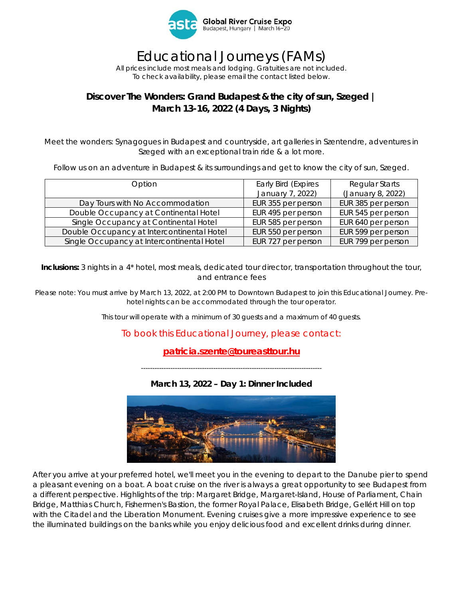

# Educational Journeys (FAMs)

*All prices include most meals and lodging. Gratuities are not included. To check availability, please email the contact listed below.* 

## **Discover The Wonders: Grand Budapest & the city of sun, Szeged | March 13-16, 2022 (4 Days, 3 Nights)**

Meet the wonders: Synagogues in Budapest and countryside, art galleries in Szentendre, adventures in Szeged with an exceptional train ride & a lot more.

Follow us on an adventure in Budapest & its surroundings and get to know the city of sun, Szeged.

| Option                                     | Early Bird (Expires | Regular Starts     |
|--------------------------------------------|---------------------|--------------------|
|                                            | January 7, 2022)    | (January 8, 2022)  |
| Day Tours with No Accommodation            | EUR 355 per person  | EUR 385 per person |
| Double Occupancy at Continental Hotel      | EUR 495 per person  | EUR 545 per person |
| Single Occupancy at Continental Hotel      | EUR 585 per person  | EUR 640 per person |
| Double Occupancy at Intercontinental Hotel | EUR 550 per person  | EUR 599 per person |
| Single Occupancy at Intercontinental Hotel | EUR 727 per person  | EUR 799 per person |

**Inclusions:** 3 nights in a 4\* hotel, most meals, dedicated tour director, transportation throughout the tour, and entrance fees

*Please note: You must arrive by March 13, 2022, at 2:00 PM to Downtown Budapest to join this Educational Journey. Prehotel nights can be accommodated through the tour operator.* 

*This tour will operate with a minimum of 30 guests and a maximum of 40 guests.* 

## To book this Educational Journey, please contact:

## **patricia.szente@toureasttour.hu**

*--------------------------------------------------------------------------------* 

#### **March 13, 2022 – Day 1: Dinner Included**



After you arrive at your preferred hotel, we'll meet you in the evening to depart to the Danube pier to spend a pleasant evening on a boat. A boat cruise on the river is always a great opportunity to see Budapest from a different perspective. Highlights of the trip: Margaret Bridge, Margaret-Island, House of Parliament, Chain Bridge, Matthias Church, Fishermen's Bastion, the former Royal Palace, Elisabeth Bridge, Gellért Hill on top with the Citadel and the Liberation Monument. Evening cruises give a more impressive experience to see the illuminated buildings on the banks while you enjoy delicious food and excellent drinks during dinner.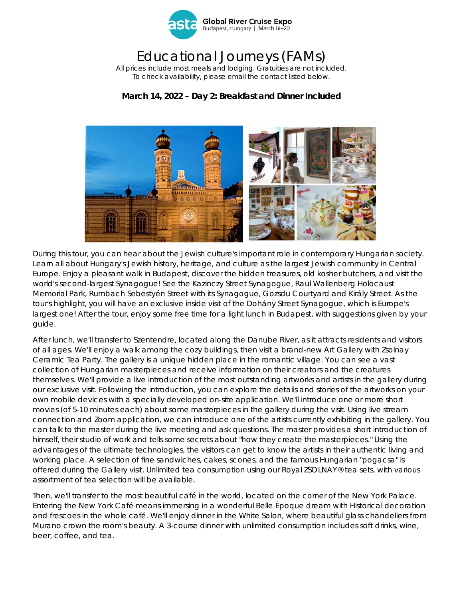

## Educational Journeys (FAMs)

*All prices include most meals and lodging. Gratuities are not included. To check availability, please email the contact listed below.* 

### **March 14, 2022 – Day 2: Breakfast and Dinner Included**



During this tour, you can hear about the Jewish culture's important role in contemporary Hungarian society. Learn all about Hungary's Jewish history, heritage, and culture as the largest Jewish community in Central Europe. Enjoy a pleasant walk in Budapest, discover the hidden treasures, old kosher butchers, and visit the world's second-largest Synagogue! See the Kazinczy Street Synagogue, Raul Wallenberg Holocaust Memorial Park, Rumbach Sebestyén Street with its Synagogue, Gozsdu Courtyard and Király Street. As the tour's highlight, you will have an exclusive inside visit of the Dohány Street Synagogue, which is Europe's largest one! After the tour, enjoy some free time for a light lunch in Budapest, with suggestions given by your guide.

After lunch, we'll transfer to Szentendre, located along the Danube River, as it attracts residents and visitors of all ages. We'll enjoy a walk among the cozy buildings, then visit a brand-new Art Gallery with Zsolnay Ceramic Tea Party. The gallery is a unique hidden place in the romantic village. You can see a vast collection of Hungarian masterpieces and receive information on their creators and the creatures themselves. We'll provide a live introduction of the most outstanding artworks and artists in the gallery during our exclusive visit. Following the introduction, you can explore the details and stories of the artworks on your own mobile devices with a specially developed on-site application. We'll introduce one or more short movies (of 5-10 minutes each) about some masterpieces in the gallery during the visit. Using live stream connection and Zoom application, we can introduce one of the artists currently exhibiting in the gallery. You can talk to the master during the live meeting and ask questions. The master provides a short introduction of himself, their studio of work and tells some secrets about "how they create the masterpieces." Using the advantages of the ultimate technologies, the visitors can get to know the artists in their authentic living and working place. A selection of fine sandwiches, cakes, scones, and the famous Hungarian "pogacsa" is offered during the Gallery visit. Unlimited tea consumption using our Royal ZSOLNAY® tea sets, with various assortment of tea selection will be available.

Then, we'll transfer to the most beautiful café in the world, located on the corner of the New York Palace. Entering the New York Café means immersing in a wonderful Belle Époque dream with Historical decoration and frescoes in the whole café. We'll enjoy dinner in the White Salon, where beautiful glass chandeliers from Murano crown the room's beauty. A 3-course dinner with unlimited consumption includes soft drinks, wine, beer, coffee, and tea.